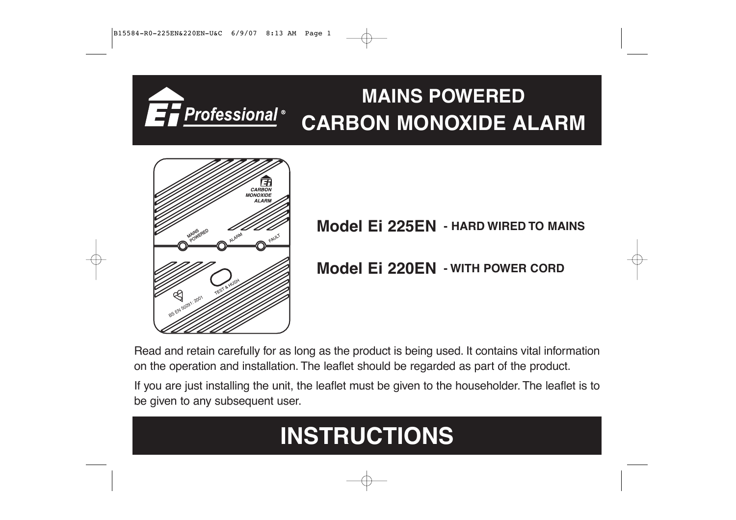# **MAINS POWERED** ET Professional® **CARBON MONOXIDE ALARM**



**MODEL EI 225EN** - HARD WIRED TO MAINS

**Model Ei 220EN - WITH POWER CORD**

Read and retain carefully for as long as the product is being used. It contains vital information on the operation and installation. The leaflet should be regarded as part of the product.

If you are just installing the unit, the leaflet must be given to the householder. The leaflet is to be given to any subsequent user.

# **INSTRUCTIONS**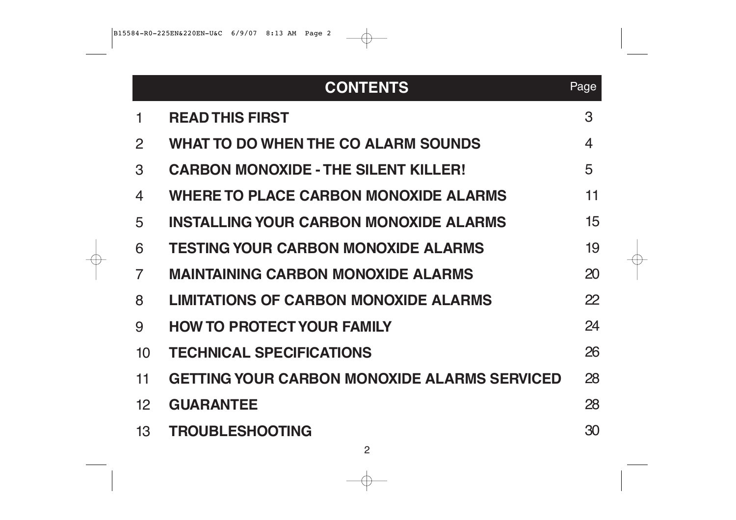|                 | <b>CONTENTS</b>                                     | Page |
|-----------------|-----------------------------------------------------|------|
| 1               | <b>READ THIS FIRST</b>                              | 3    |
| 2               | <b>WHAT TO DO WHEN THE CO ALARM SOUNDS</b>          | 4    |
| 3               | <b>CARBON MONOXIDE - THE SILENT KILLER!</b>         | 5    |
| $\overline{4}$  | <b>WHERE TO PLACE CARBON MONOXIDE ALARMS</b>        | 11   |
| 5               | <b>INSTALLING YOUR CARBON MONOXIDE ALARMS</b>       | 15   |
| 6               | <b>TESTING YOUR CARBON MONOXIDE ALARMS</b>          | 19   |
| $\overline{7}$  | <b>MAINTAINING CARBON MONOXIDE ALARMS</b>           | 20   |
| 8               | <b>LIMITATIONS OF CARBON MONOXIDE ALARMS</b>        | 22   |
| 9               | <b>HOW TO PROTECT YOUR FAMILY</b>                   | 24   |
| 10 <sup>1</sup> | <b>TECHNICAL SPECIFICATIONS</b>                     | 26   |
| 11              | <b>GETTING YOUR CARBON MONOXIDE ALARMS SERVICED</b> | 28   |
| 12 <sup>2</sup> | <b>GUARANTEE</b>                                    | 28   |
| 13              | <b>TROUBLESHOOTING</b>                              | 30   |

€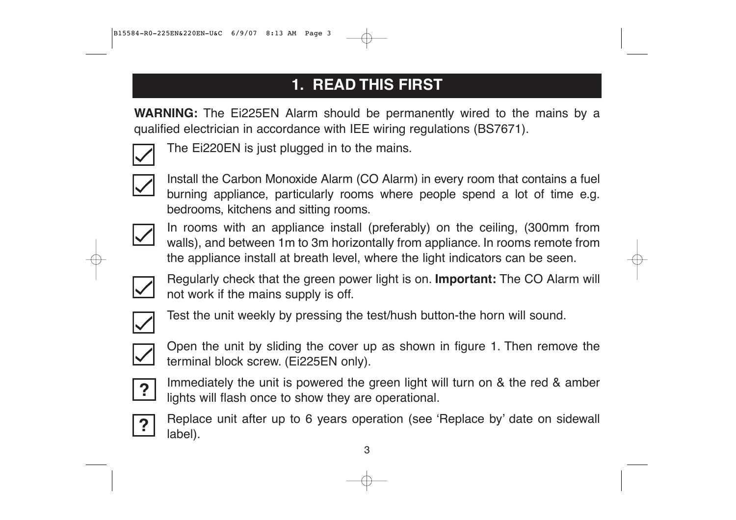# **1. READ THIS FIRST**

**WARNING:** The Ei225EN Alarm should be permanently wired to the mains by a qualified electrician in accordance with IEE wiring regulations (BS7671).



The Ei220EN is just plugged in to the mains.



Install the Carbon Monoxide Alarm (CO Alarm) in every room that contains a fuel burning appliance, particularly rooms where people spend a lot of time e.g. bedrooms, kitchens and sitting rooms.



In rooms with an appliance install (preferably) on the ceiling, (300mm from walls), and between 1m to 3m horizontally from appliance. In rooms remote from the appliance install at breath level, where the light indicators can be seen.



Regularly check that the green power light is on. **Important:** The CO Alarm will not work if the mains supply is off.



Test the unit weekly by pressing the test/hush button-the horn will sound.



Open the unit by sliding the cover up as shown in figure 1. Then remove the terminal block screw. (Ei225EN only).



Immediately the unit is powered the green light will turn on & the red & amber lights will flash once to show they are operational.



Replace unit after up to 6 years operation (see 'Replace by' date on sidewall label).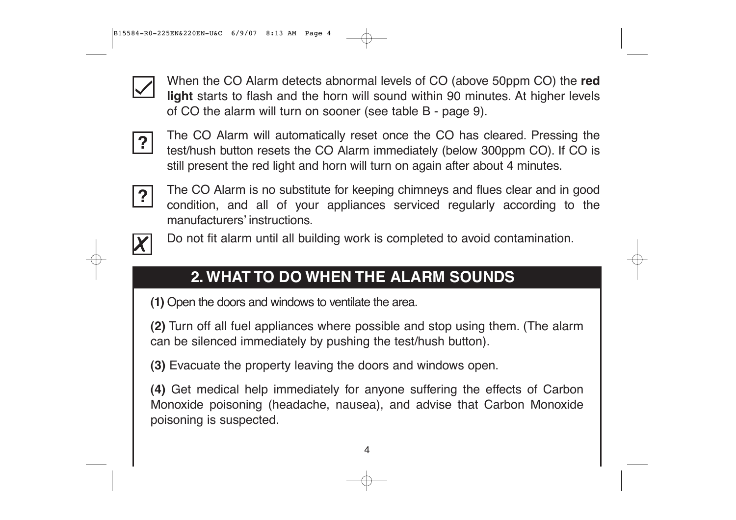

When the CO Alarm detects abnormal levels of CO (above 50ppm CO) the **red light** starts to flash and the horn will sound within 90 minutes. At higher levels of CO the alarm will turn on sooner (see table B - page 9).



The CO Alarm will automatically reset once the CO has cleared. Pressing the test/hush button resets the CO Alarm immediately (below 300ppm CO). If CO is still present the red light and horn will turn on again after about 4 minutes.



The CO Alarm is no substitute for keeping chimneys and flues clear and in good condition, and all of your appliances serviced regularly according to the manufacturers' instructions.



Do not fit alarm until all building work is completed to avoid contamination.

# **2. WHAT TO DO WHEN THE ALARM SOUNDS**

**(1)** Open the doors and windows to ventilate the area.

**(2)** Turn off all fuel appliances where possible and stop using them. (The alarm can be silenced immediately by pushing the test/hush button).

**(3)** Evacuate the property leaving the doors and windows open.

**(4)** Get medical help immediately for anyone suffering the effects of Carbon Monoxide poisoning (headache, nausea), and advise that Carbon Monoxide poisoning is suspected.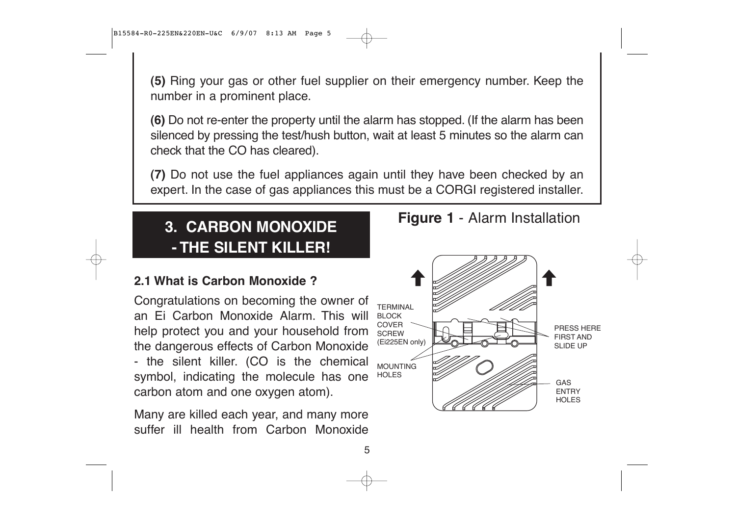**(5)** Ring your gas or other fuel supplier on their emergency number. Keep the number in a prominent place.

**(6)** Do not re-enter the property until the alarm has stopped. (If the alarm has been silenced by pressing the test/hush button, wait at least 5 minutes so the alarm can check that the CO has cleared).

**(7)** Do not use the fuel appliances again until they have been checked by an expert. In the case of gas appliances this must be a CORGI registered installer.

5

# **3. CARBON MONOXIDE - THE SILENT KILLER!**

#### **2.1 What is Carbon Monoxide ?**

Congratulations on becoming the owner of an Ei Carbon Monoxide Alarm. This will help protect you and your household from  $\frac{1}{\text{SCREW}}$ the dangerous effects of Carbon Monoxide - the silent killer. (CO is the chemical symbol, indicating the molecule has one carbon atom and one oxygen atom).

Many are killed each year, and many more suffer ill health from Carbon Monoxide



**Figure 1** - Alarm Installation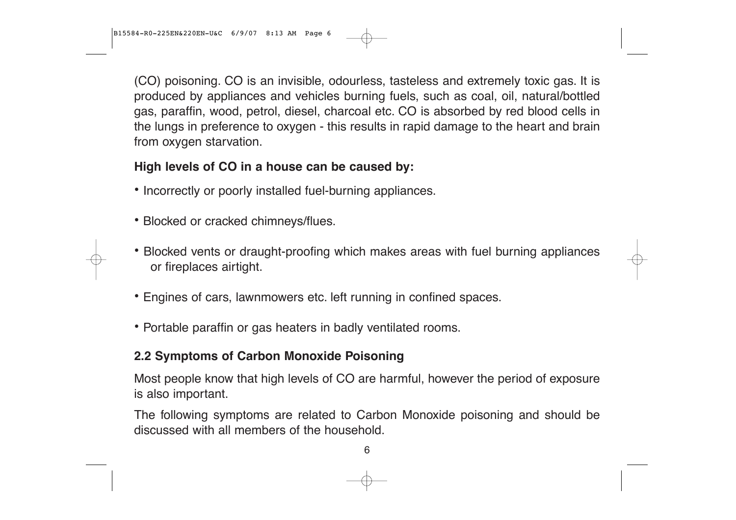B15584-R0-225EN&220EN-U&C 6/9/07 8:13 AM Page 6

(CO) poisoning. CO is an invisible, odourless, tasteless and extremely toxic gas. It is produced by appliances and vehicles burning fuels, such as coal, oil, natural/bottled gas, paraffin, wood, petrol, diesel, charcoal etc. CO is absorbed by red blood cells in the lungs in preference to oxygen - this results in rapid damage to the heart and brain from oxygen starvation.

#### **High levels of CO in a house can be caused by:**

- **•** Incorrectly or poorly installed fuel-burning appliances.
- **•** Blocked or cracked chimneys/flues.
- **•** Blocked vents or draught-proofing which makes areas with fuel burning appliances or fireplaces airtight.
- **•** Engines of cars, lawnmowers etc. left running in confined spaces.
- **•** Portable paraffin or gas heaters in badly ventilated rooms.

#### **2.2 Symptoms of Carbon Monoxide Poisoning**

Most people know that high levels of CO are harmful, however the period of exposure is also important.

The following symptoms are related to Carbon Monoxide poisoning and should be discussed with all members of the household.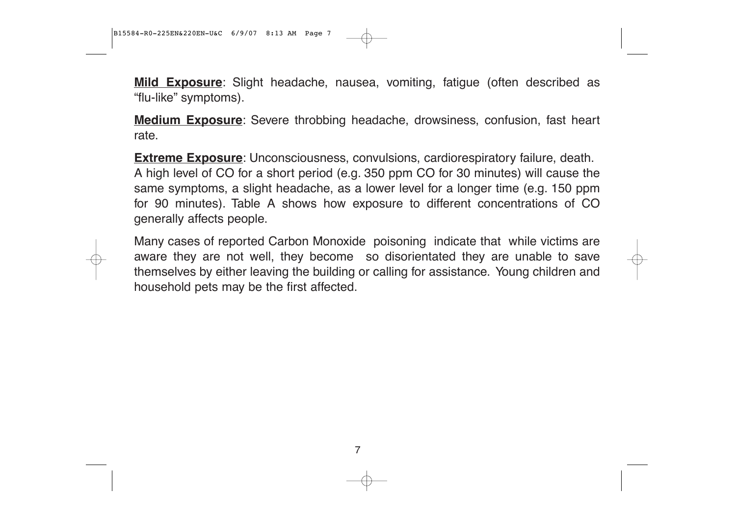**Mild Exposure**: Slight headache, nausea, vomiting, fatigue (often described as "flu-like" symptoms).

**Medium Exposure**: Severe throbbing headache, drowsiness, confusion, fast heart rate.

**Extreme Exposure**: Unconsciousness, convulsions, cardiorespiratory failure, death. A high level of CO for a short period (e.g. 350 ppm CO for 30 minutes) will cause the same symptoms, a slight headache, as a lower level for a longer time (e.g. 150 ppm for 90 minutes). Table A shows how exposure to different concentrations of CO generally affects people.

Many cases of reported Carbon Monoxide poisoning indicate that while victims are aware they are not well, they become so disorientated they are unable to save themselves by either leaving the building or calling for assistance. Young children and household pets may be the first affected.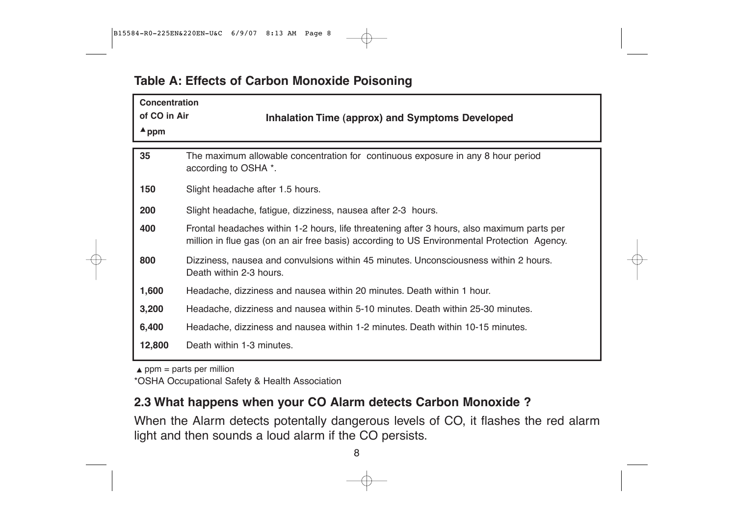#### **Table A: Effects of Carbon Monoxide Poisoning**

| <b>Concentration</b><br>of CO in Air<br>$\blacktriangle$ ppm | Inhalation Time (approx) and Symptoms Developed                                                                                                                                           |
|--------------------------------------------------------------|-------------------------------------------------------------------------------------------------------------------------------------------------------------------------------------------|
| 35                                                           | The maximum allowable concentration for continuous exposure in any 8 hour period<br>according to OSHA *.                                                                                  |
| 150                                                          | Slight headache after 1.5 hours.                                                                                                                                                          |
| 200                                                          | Slight headache, fatigue, dizziness, nausea after 2-3 hours.                                                                                                                              |
| 400                                                          | Frontal headaches within 1-2 hours, life threatening after 3 hours, also maximum parts per<br>million in flue gas (on an air free basis) according to US Environmental Protection Agency. |
| 800                                                          | Dizziness, nausea and convulsions within 45 minutes. Unconsciousness within 2 hours.<br>Death within 2-3 hours.                                                                           |
| 1,600                                                        | Headache, dizziness and nausea within 20 minutes. Death within 1 hour.                                                                                                                    |
| 3,200                                                        | Headache, dizziness and nausea within 5-10 minutes. Death within 25-30 minutes.                                                                                                           |
| 6,400                                                        | Headache, dizziness and nausea within 1-2 minutes. Death within 10-15 minutes.                                                                                                            |
| 12,800                                                       | Death within 1-3 minutes.                                                                                                                                                                 |

 $\triangle$  ppm = parts per million

\*OSHA Occupational Safety & Health Association

#### **2.3 What happens when your CO Alarm detects Carbon Monoxide ?**

When the Alarm detects potentally dangerous levels of CO, it flashes the red alarm light and then sounds a loud alarm if the CO persists.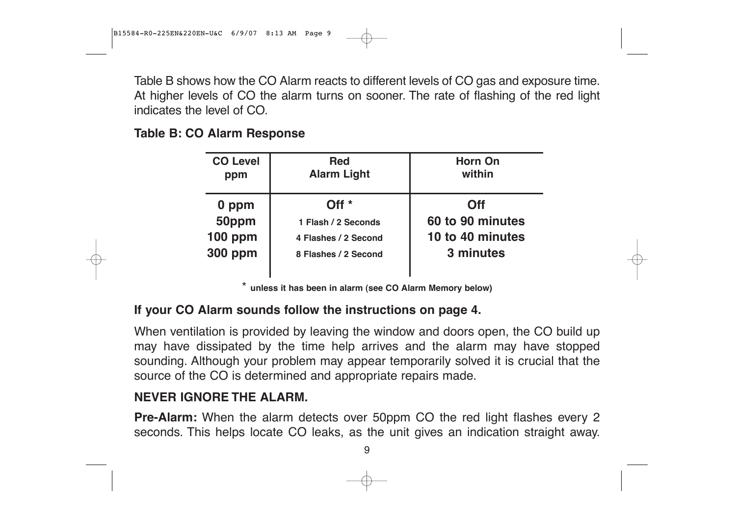Table B shows how the CO Alarm reacts to different levels of CO gas and exposure time. At higher levels of CO the alarm turns on sooner. The rate of flashing of the red light indicates the level of CO.

#### **Table B: CO Alarm Response**

| <b>CO Level</b> | <b>Red</b>           | <b>Horn On</b>   |  |
|-----------------|----------------------|------------------|--|
| ppm             | <b>Alarm Light</b>   | within           |  |
| 0 ppm           | Off $*$              | <b>Off</b>       |  |
| 50ppm           | 1 Flash / 2 Seconds  | 60 to 90 minutes |  |
| <b>100 ppm</b>  | 4 Flashes / 2 Second | 10 to 40 minutes |  |
| <b>300 ppm</b>  | 8 Flashes / 2 Second | 3 minutes        |  |

**unless it has been in alarm (see CO Alarm Memory below)** 

#### **If your CO Alarm sounds follow the instructions on page 4.**

When ventilation is provided by leaving the window and doors open, the CO build up may have dissipated by the time help arrives and the alarm may have stopped sounding. Although your problem may appear temporarily solved it is crucial that the source of the CO is determined and appropriate repairs made.

#### **NEVER IGNORE THE ALARM.**

**Pre-Alarm:** When the alarm detects over 50ppm CO the red light flashes every 2 seconds. This helps locate CO leaks, as the unit gives an indication straight away.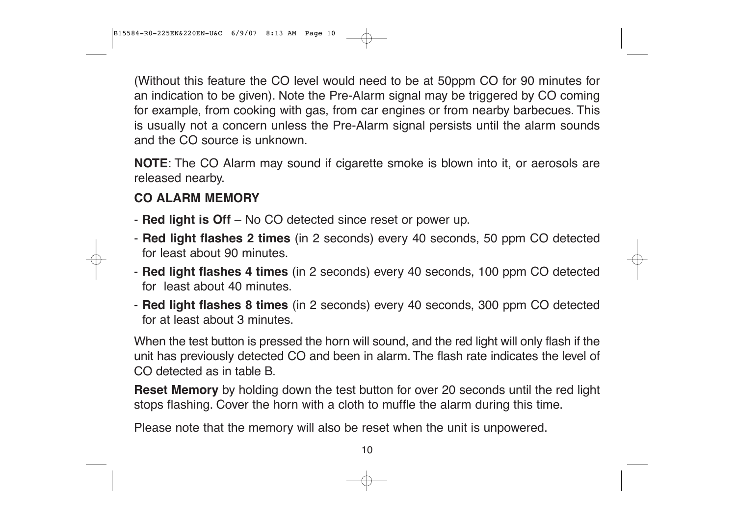B15584-R0-225EN&220EN-U&C 6/9/07 8:13 AM Page 10

(Without this feature the CO level would need to be at 50ppm CO for 90 minutes for an indication to be given). Note the Pre-Alarm signal may be triggered by CO coming for example, from cooking with gas, from car engines or from nearby barbecues. This is usually not a concern unless the Pre-Alarm signal persists until the alarm sounds and the CO source is unknown.

**NOTE**: The CO Alarm may sound if cigarette smoke is blown into it, or aerosols are released nearby.

#### **CO ALARM MEMORY**

- **Red light is Off** No CO detected since reset or power up.
- **Red light flashes 2 times** (in 2 seconds) every 40 seconds, 50 ppm CO detected for least about 90 minutes.
- **Red light flashes 4 times** (in 2 seconds) every 40 seconds, 100 ppm CO detected for least about 40 minutes.
- **Red light flashes 8 times** (in 2 seconds) every 40 seconds, 300 ppm CO detected for at least about 3 minutes.

When the test button is pressed the horn will sound, and the red light will only flash if the unit has previously detected CO and been in alarm. The flash rate indicates the level of CO detected as in table B.

**Reset Memory** by holding down the test button for over 20 seconds until the red light stops flashing. Cover the horn with a cloth to muffle the alarm during this time.

Please note that the memory will also be reset when the unit is unpowered.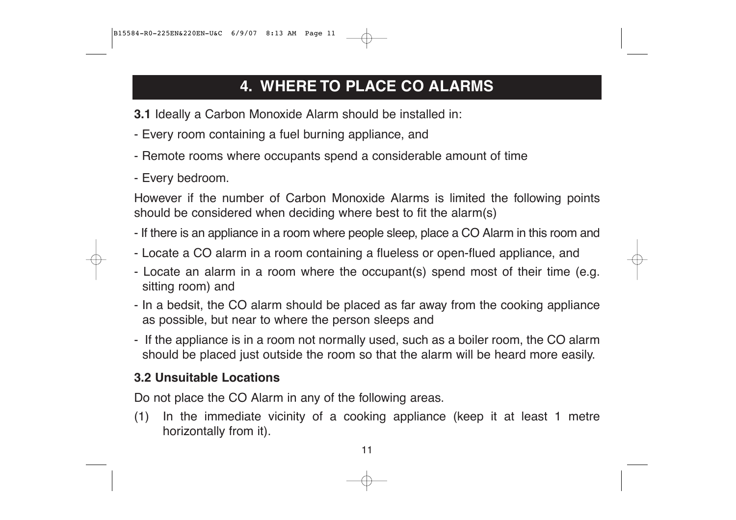# **4. WHERE TO PLACE CO ALARMS**

- **3.1** Ideally a Carbon Monoxide Alarm should be installed in:
- Every room containing a fuel burning appliance, and
- Remote rooms where occupants spend a considerable amount of time
- Every bedroom.

However if the number of Carbon Monoxide Alarms is limited the following points should be considered when deciding where best to fit the alarm(s)

- If there is an appliance in a room where people sleep, place a CO Alarm in this room and
- Locate a CO alarm in a room containing a flueless or open-flued appliance, and
- Locate an alarm in a room where the occupant(s) spend most of their time (e.g. sitting room) and
- In a bedsit, the CO alarm should be placed as far away from the cooking appliance as possible, but near to where the person sleeps and
- If the appliance is in a room not normally used, such as a boiler room, the CO alarm should be placed just outside the room so that the alarm will be heard more easily.

#### **3.2 Unsuitable Locations**

Do not place the CO Alarm in any of the following areas.

(1) In the immediate vicinity of a cooking appliance (keep it at least 1 metre horizontally from it).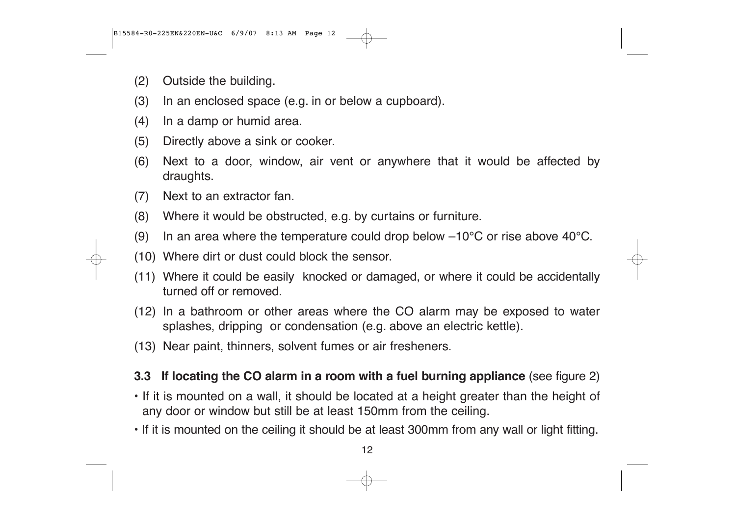- (2) Outside the building.
- (3) In an enclosed space (e.g. in or below a cupboard).
- (4) In a damp or humid area.
- (5) Directly above a sink or cooker.
- (6) Next to a door, window, air vent or anywhere that it would be affected by draughts.
- (7) Next to an extractor fan.
- (8) Where it would be obstructed, e.g. by curtains or furniture.
- (9) In an area where the temperature could drop below  $-10^{\circ}$ C or rise above 40 $^{\circ}$ C.
- (10) Where dirt or dust could block the sensor.
- (11) Where it could be easily knocked or damaged, or where it could be accidentally turned off or removed.
- (12) In a bathroom or other areas where the CO alarm may be exposed to water splashes, dripping or condensation (e.g. above an electric kettle).
- (13) Near paint, thinners, solvent fumes or air fresheners.

#### **3.3 If locating the CO alarm in a room with a fuel burning appliance** (see figure 2)

- If it is mounted on a wall, it should be located at a height greater than the height of any door or window but still be at least 150mm from the ceiling.
- If it is mounted on the ceiling it should be at least 300mm from any wall or light fitting.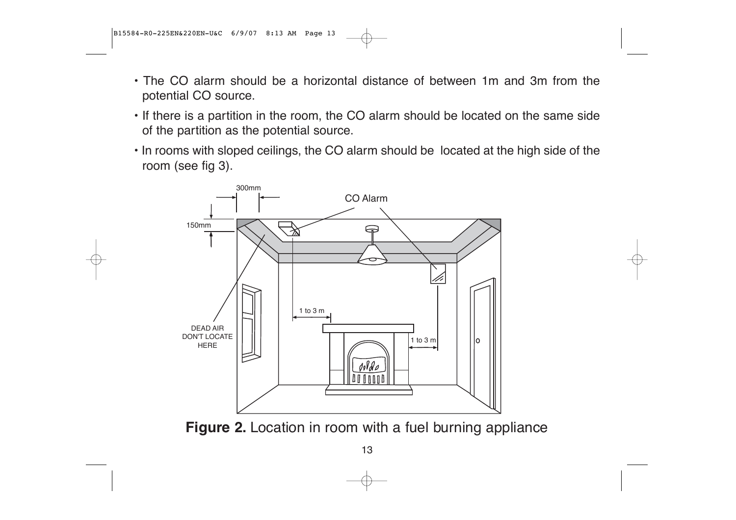- The CO alarm should be a horizontal distance of between 1m and 3m from the potential CO source.
- If there is a partition in the room, the CO alarm should be located on the same side of the partition as the potential source.
- In rooms with sloped ceilings, the CO alarm should be located at the high side of the room (see fig 3).



**Figure 2.** Location in room with a fuel burning appliance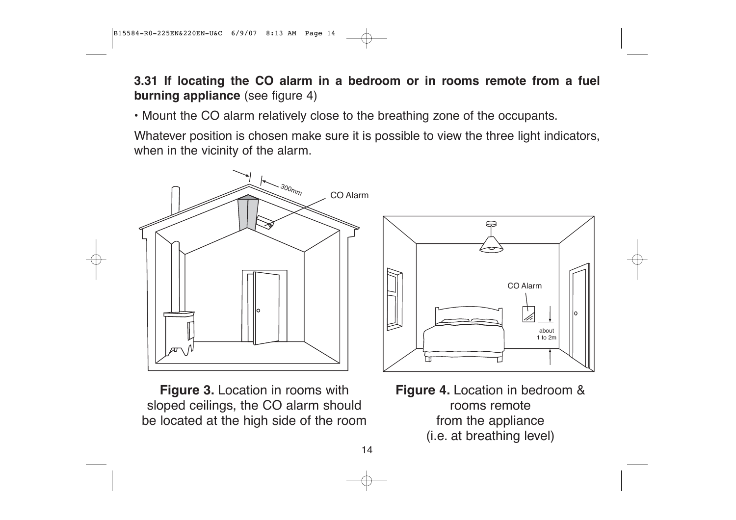**3.31 If locating the CO alarm in a bedroom or in rooms remote from a fuel burning appliance** (see figure 4)

• Mount the CO alarm relatively close to the breathing zone of the occupants.

Whatever position is chosen make sure it is possible to view the three light indicators, when in the vicinity of the alarm.



ᠹ CO Alarm 匕 about 1 to 2m

**Figure 3.** Location in rooms with sloped ceilings, the CO alarm should be located at the high side of the room **Figure 4.** Location in bedroom & rooms remote from the appliance (i.e. at breathing level)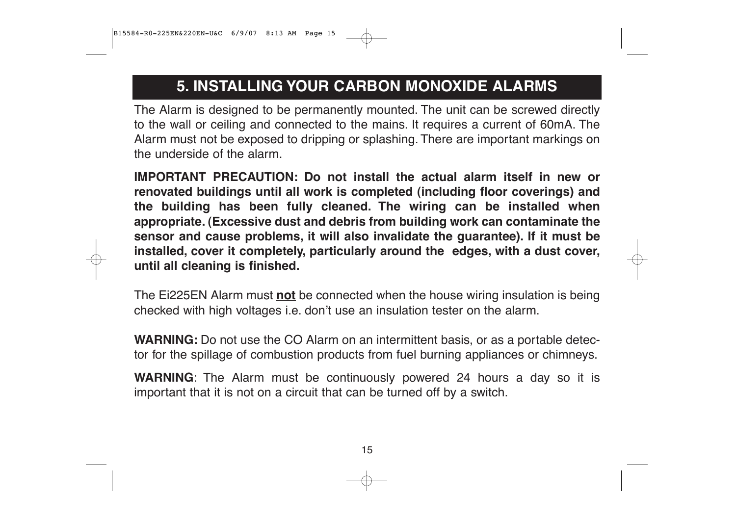### **5. INSTALLING YOUR CARBON MONOXIDE ALARMS**

The Alarm is designed to be permanently mounted. The unit can be screwed directly to the wall or ceiling and connected to the mains. It requires a current of 60mA. The Alarm must not be exposed to dripping or splashing. There are important markings on the underside of the alarm.

**IMPORTANT PRECAUTION: Do not install the actual alarm itself in new or renovated buildings until all work is completed (including floor coverings) and the building has been fully cleaned. The wiring can be installed when appropriate. (Excessive dust and debris from building work can contaminate the sensor and cause problems, it will also invalidate the guarantee). If it must be installed, cover it completely, particularly around the edges, with a dust cover, until all cleaning is finished.**

The Ei225EN Alarm must **not** be connected when the house wiring insulation is being checked with high voltages i.e. don't use an insulation tester on the alarm.

**WARNING:** Do not use the CO Alarm on an intermittent basis, or as a portable detector for the spillage of combustion products from fuel burning appliances or chimneys.

**WARNING**: The Alarm must be continuously powered 24 hours a day so it is important that it is not on a circuit that can be turned off by a switch.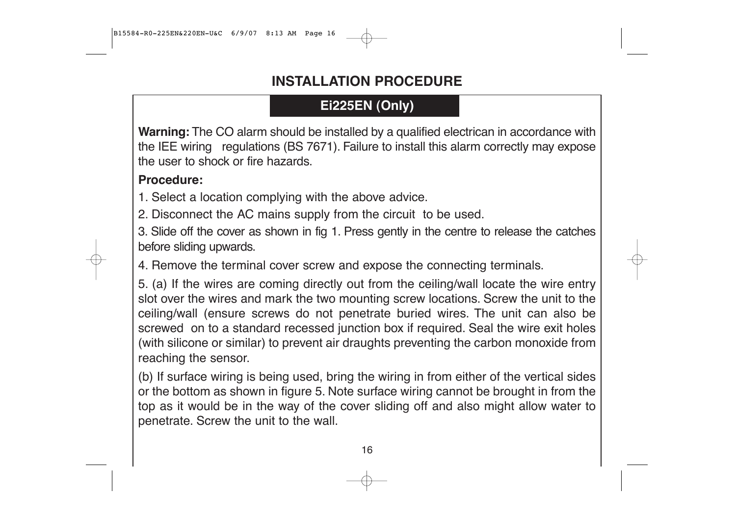### **INSTALLATION PROCEDURE**

### **Ei225EN (Only)**

**Warning:** The CO alarm should be installed by a qualified electrican in accordance with the IEE wiring regulations (BS 7671). Failure to install this alarm correctly may expose the user to shock or fire hazards.

#### **Procedure:**

1. Select a location complying with the above advice.

2. Disconnect the AC mains supply from the circuit to be used.

3. Slide off the cover as shown in fig 1. Press gently in the centre to release the catches before sliding upwards.

4. Remove the terminal cover screw and expose the connecting terminals.

5. (a) If the wires are coming directly out from the ceiling/wall locate the wire entry slot over the wires and mark the two mounting screw locations. Screw the unit to the ceiling/wall (ensure screws do not penetrate buried wires. The unit can also be screwed on to a standard recessed junction box if required. Seal the wire exit holes (with silicone or similar) to prevent air draughts preventing the carbon monoxide from reaching the sensor.

(b) If surface wiring is being used, bring the wiring in from either of the vertical sides or the bottom as shown in figure 5. Note surface wiring cannot be brought in from the top as it would be in the way of the cover sliding off and also might allow water to penetrate. Screw the unit to the wall.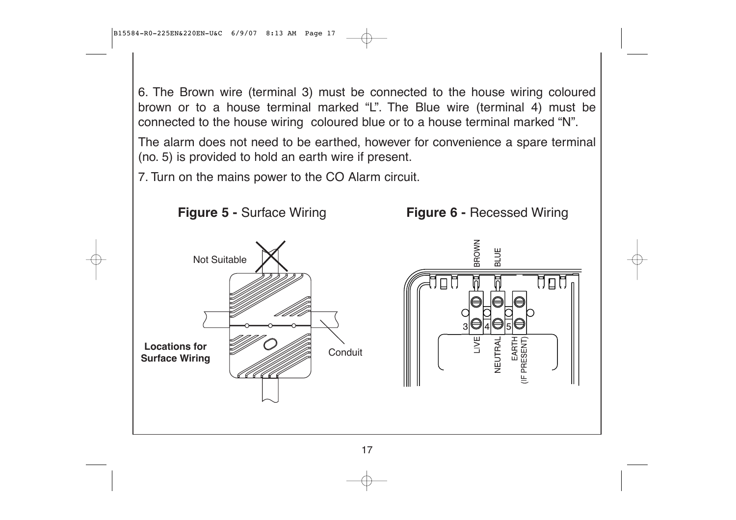6. The Brown wire (terminal 3) must be connected to the house wiring coloured brown or to a house terminal marked "L". The Blue wire (terminal 4) must be connected to the house wiring coloured blue or to a house terminal marked "N".

The alarm does not need to be earthed, however for convenience a spare terminal (no. 5) is provided to hold an earth wire if present.

7. Turn on the mains power to the CO Alarm circuit.

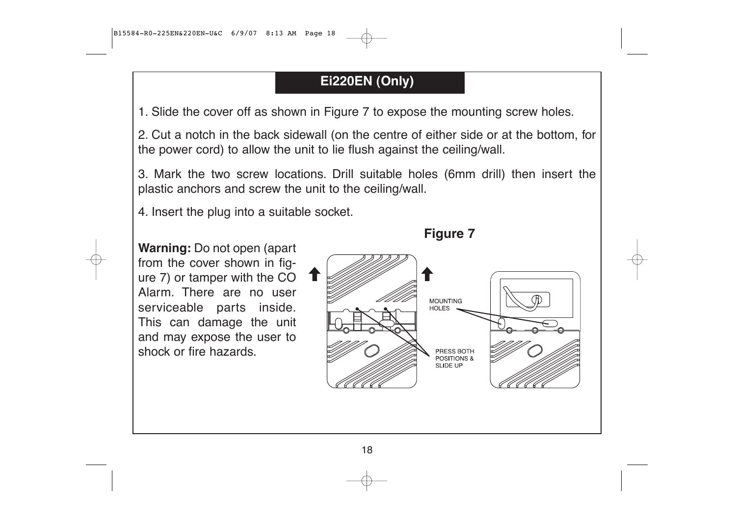### **Ei220EN (Only)**

1. Slide the cover off as shown in Figure 7 to expose the mounting screw holes.

2. Cut a notch in the back sidewall (on the centre of either side or at the bottom, for the power cord) to allow the unit to lie flush against the ceiling/wall.

3. Mark the two screw locations. Drill suitable holes (6mm drill) then insert the plastic anchors and screw the unit to the ceiling/wall.

4. Insert the plug into a suitable socket.

**Warning:** Do not open (apart from the cover shown in figure 7) or tamper with the CO Alarm. There are no user serviceable parts inside. This can damage the unit and may expose the user to shock or fire hazards.

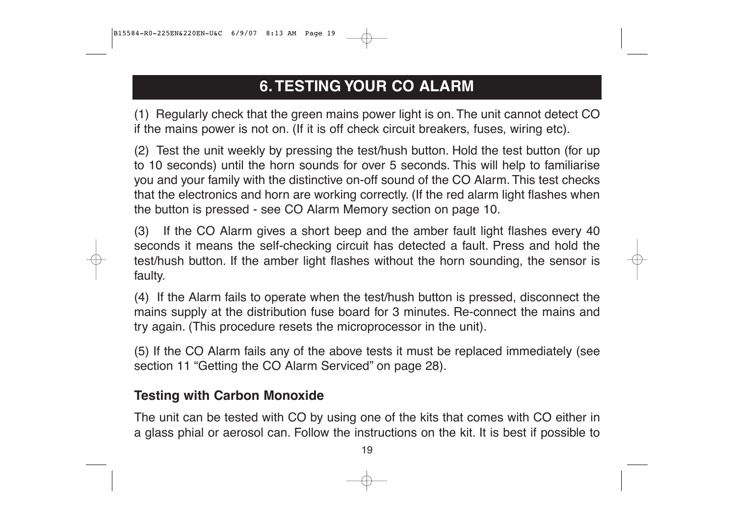# **6. TESTING YOUR CO ALARM**

(1) Regularly check that the green mains power light is on. The unit cannot detect CO if the mains power is not on. (If it is off check circuit breakers, fuses, wiring etc).

(2) Test the unit weekly by pressing the test/hush button. Hold the test button (for up to 10 seconds) until the horn sounds for over 5 seconds. This will help to familiarise you and your family with the distinctive on-off sound of the CO Alarm. This test checks that the electronics and horn are working correctly. (If the red alarm light flashes when the button is pressed - see CO Alarm Memory section on page 10.

(3) If the CO Alarm gives a short beep and the amber fault light flashes every 40 seconds it means the self-checking circuit has detected a fault. Press and hold the test/hush button. If the amber light flashes without the horn sounding, the sensor is faulty.

(4) If the Alarm fails to operate when the test/hush button is pressed, disconnect the mains supply at the distribution fuse board for 3 minutes. Re-connect the mains and try again. (This procedure resets the microprocessor in the unit).

(5) If the CO Alarm fails any of the above tests it must be replaced immediately (see section 11 "Getting the CO Alarm Serviced" on page 28).

#### **Testing with Carbon Monoxide**

The unit can be tested with CO by using one of the kits that comes with CO either in a glass phial or aerosol can. Follow the instructions on the kit. It is best if possible to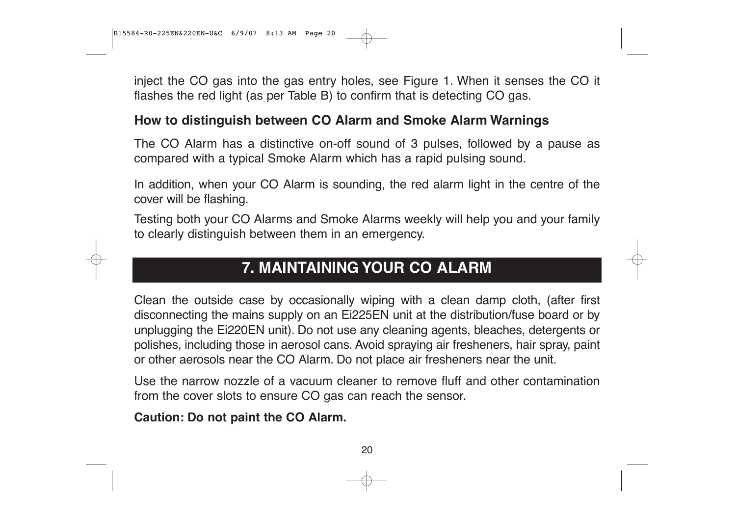inject the CO gas into the gas entry holes, see Figure 1. When it senses the CO it flashes the red light (as per Table B) to confirm that is detecting CO gas.

#### **How to distinguish between CO Alarm and Smoke Alarm Warnings**

The CO Alarm has a distinctive on-off sound of 3 pulses, followed by a pause as compared with a typical Smoke Alarm which has a rapid pulsing sound.

In addition, when your CO Alarm is sounding, the red alarm light in the centre of the cover will be flashing.

Testing both your CO Alarms and Smoke Alarms weekly will help you and your family to clearly distinguish between them in an emergency.

## **7. MAINTAINING YOUR CO ALARM**

Clean the outside case by occasionally wiping with a clean damp cloth, (after first disconnecting the mains supply on an Ei225EN unit at the distribution/fuse board or by unplugging the Ei220EN unit). Do not use any cleaning agents, bleaches, detergents or polishes, including those in aerosol cans. Avoid spraying air fresheners, hair spray, paint or other aerosols near the CO Alarm. Do not place air fresheners near the unit.

Use the narrow nozzle of a vacuum cleaner to remove fluff and other contamination from the cover slots to ensure CO gas can reach the sensor.

**Caution: Do not paint the CO Alarm.**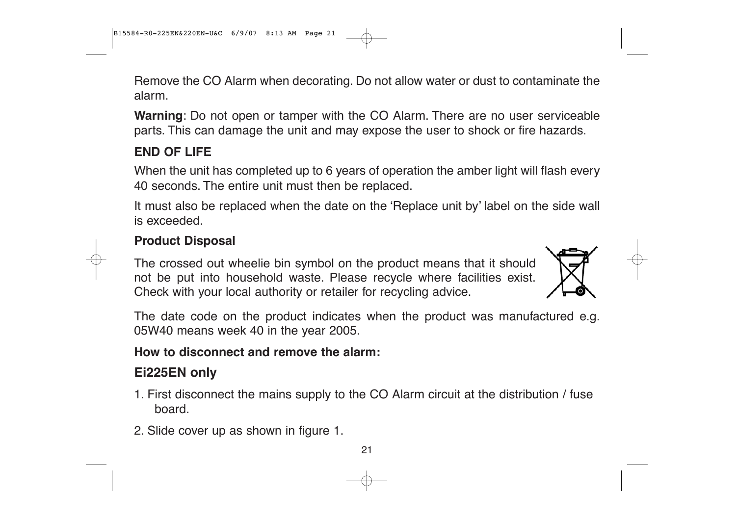Remove the CO Alarm when decorating. Do not allow water or dust to contaminate the alarm.

**Warning**: Do not open or tamper with the CO Alarm. There are no user serviceable parts. This can damage the unit and may expose the user to shock or fire hazards.

#### **END OF LIFE**

When the unit has completed up to 6 years of operation the amber light will flash every 40 seconds. The entire unit must then be replaced.

It must also be replaced when the date on the 'Replace unit by' label on the side wall is exceeded.

#### **Product Disposal**

The crossed out wheelie bin symbol on the product means that it should not be put into household waste. Please recycle where facilities exist. Check with your local authority or retailer for recycling advice.



The date code on the product indicates when the product was manufactured e.g. 05W40 means week 40 in the year 2005.

#### **How to disconnect and remove the alarm:**

### **Ei225EN only**

- 1. First disconnect the mains supply to the CO Alarm circuit at the distribution / fuse board.
- 2. Slide cover up as shown in figure 1.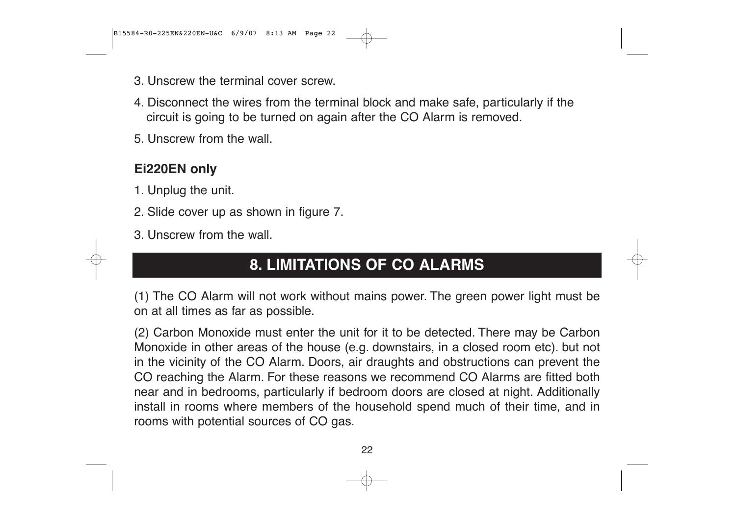- 3. Unscrew the terminal cover screw.
- 4. Disconnect the wires from the terminal block and make safe, particularly if the circuit is going to be turned on again after the CO Alarm is removed.
- 5. Unscrew from the wall.

#### **Ei220EN only**

- 1. Unplug the unit.
- 2. Slide cover up as shown in figure 7.
- 3. Unscrew from the wall.

### **8. LIMITATIONS OF CO ALARMS**

(1) The CO Alarm will not work without mains power. The green power light must be on at all times as far as possible.

(2) Carbon Monoxide must enter the unit for it to be detected. There may be Carbon Monoxide in other areas of the house (e.g. downstairs, in a closed room etc). but not in the vicinity of the CO Alarm. Doors, air draughts and obstructions can prevent the CO reaching the Alarm. For these reasons we recommend CO Alarms are fitted both near and in bedrooms, particularly if bedroom doors are closed at night. Additionally install in rooms where members of the household spend much of their time, and in rooms with potential sources of CO gas.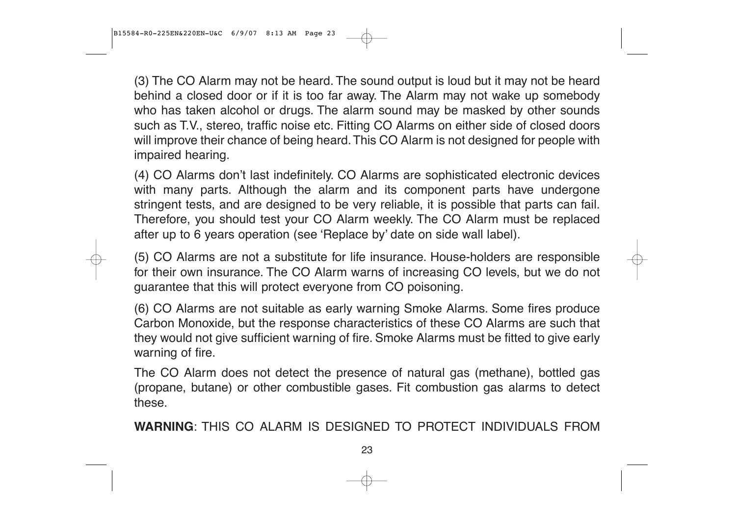(3) The CO Alarm may not be heard. The sound output is loud but it may not be heard behind a closed door or if it is too far away. The Alarm may not wake up somebody who has taken alcohol or drugs. The alarm sound may be masked by other sounds such as T.V., stereo, traffic noise etc. Fitting CO Alarms on either side of closed doors will improve their chance of being heard. This CO Alarm is not designed for people with impaired hearing.

(4) CO Alarms don't last indefinitely. CO Alarms are sophisticated electronic devices with many parts. Although the alarm and its component parts have undergone stringent tests, and are designed to be very reliable, it is possible that parts can fail. Therefore, you should test your CO Alarm weekly. The CO Alarm must be replaced after up to 6 years operation (see 'Replace by' date on side wall label).

(5) CO Alarms are not a substitute for life insurance. House-holders are responsible for their own insurance. The CO Alarm warns of increasing CO levels, but we do not guarantee that this will protect everyone from CO poisoning.

(6) CO Alarms are not suitable as early warning Smoke Alarms. Some fires produce Carbon Monoxide, but the response characteristics of these CO Alarms are such that they would not give sufficient warning of fire. Smoke Alarms must be fitted to give early warning of fire.

The CO Alarm does not detect the presence of natural gas (methane), bottled gas (propane, butane) or other combustible gases. Fit combustion gas alarms to detect these.

**WARNING**: THIS CO ALARM IS DESIGNED TO PROTECT INDIVIDUALS FROM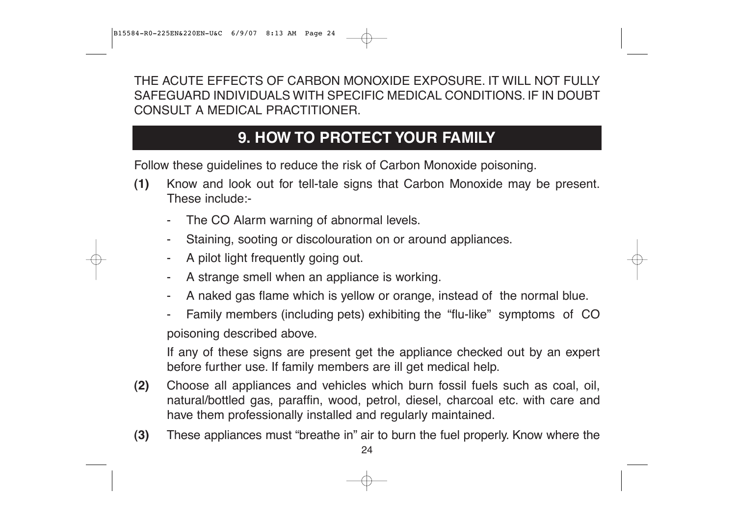THE ACUTE EFFECTS OF CARBON MONOXIDE EXPOSURE. IT WILL NOT FULLY SAFEGUARD INDIVIDUALS WITH SPECIFIC MEDICAL CONDITIONS. IF IN DOUBT CONSULT A MEDICAL PRACTITIONER.

## **9. HOW TO PROTECT YOUR FAMILY**

Follow these guidelines to reduce the risk of Carbon Monoxide poisoning.

- **(1)** Know and look out for tell-tale signs that Carbon Monoxide may be present. These include:-
	- -The CO Alarm warning of abnormal levels.
	- -Staining, sooting or discolouration on or around appliances.
	- A pilot light frequently going out.
	- -A strange smell when an appliance is working.
	- -A naked gas flame which is yellow or orange, instead of the normal blue.
	- - Family members (including pets) exhibiting the "flu-like" symptoms of CO poisoning described above.

If any of these signs are present get the appliance checked out by an expert before further use. If family members are ill get medical help.

- **(2)** Choose all appliances and vehicles which burn fossil fuels such as coal, oil, natural/bottled gas, paraffin, wood, petrol, diesel, charcoal etc. with care and have them professionally installed and regularly maintained.
- **(3)** These appliances must "breathe in" air to burn the fuel properly. Know where the

<sup>24</sup>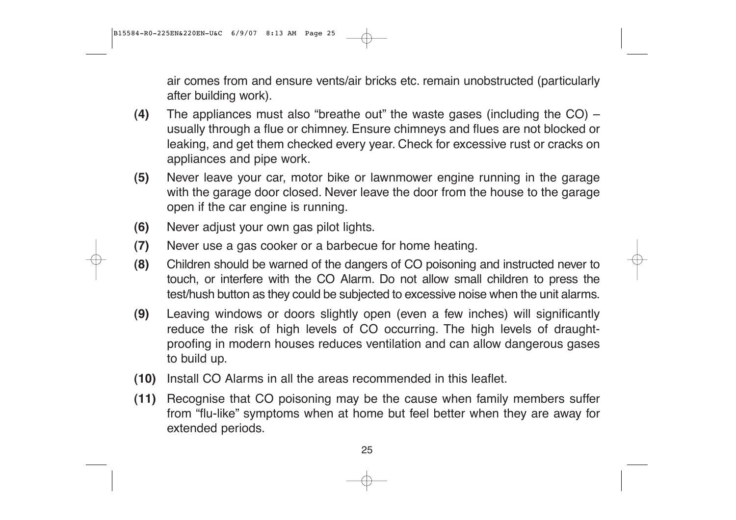air comes from and ensure vents/air bricks etc. remain unobstructed (particularly after building work).

- **(4)** The appliances must also "breathe out" the waste gases (including the CO) usually through a flue or chimney. Ensure chimneys and flues are not blocked or leaking, and get them checked every year. Check for excessive rust or cracks on appliances and pipe work.
- **(5)** Never leave your car, motor bike or lawnmower engine running in the garage with the garage door closed. Never leave the door from the house to the garage open if the car engine is running.
- **(6)** Never adjust your own gas pilot lights.
- **(7)** Never use a gas cooker or a barbecue for home heating.
- **(8)** Children should be warned of the dangers of CO poisoning and instructed never to touch, or interfere with the CO Alarm. Do not allow small children to press the test/hush button as they could be subjected to excessive noise when the unit alarms.
- **(9)** Leaving windows or doors slightly open (even a few inches) will significantly reduce the risk of high levels of CO occurring. The high levels of draughtproofing in modern houses reduces ventilation and can allow dangerous gases to build up.
- **(10)** Install CO Alarms in all the areas recommended in this leaflet.
- **(11)** Recognise that CO poisoning may be the cause when family members suffer from "flu-like" symptoms when at home but feel better when they are away for extended periods.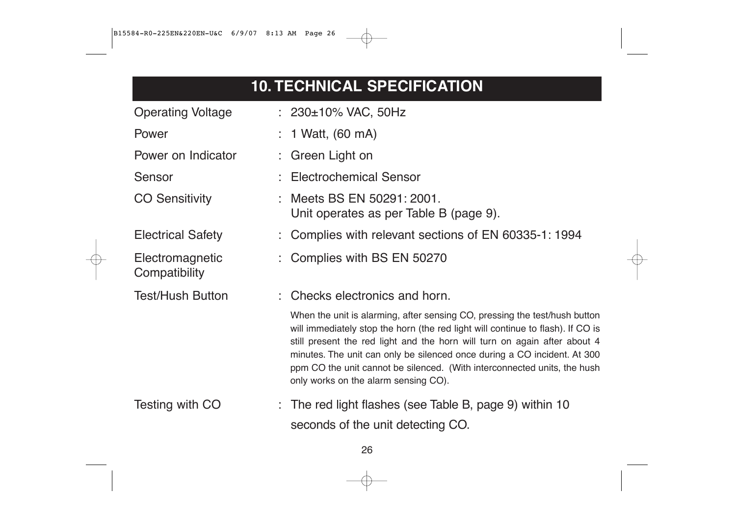# **10. TECHNICAL SPECIFICATION**

| <b>Operating Voltage</b>         | : $230 \pm 10\%$ VAC, 50Hz                                                                                                                                                                                                                                                                                                                                                                                                                 |
|----------------------------------|--------------------------------------------------------------------------------------------------------------------------------------------------------------------------------------------------------------------------------------------------------------------------------------------------------------------------------------------------------------------------------------------------------------------------------------------|
| Power                            | $: 1$ Watt, (60 mA)                                                                                                                                                                                                                                                                                                                                                                                                                        |
| Power on Indicator               | $\therefore$ Green Light on                                                                                                                                                                                                                                                                                                                                                                                                                |
| Sensor                           | <b>Electrochemical Sensor</b>                                                                                                                                                                                                                                                                                                                                                                                                              |
| <b>CO Sensitivity</b>            | Meets BS EN 50291: 2001.<br>Unit operates as per Table B (page 9).                                                                                                                                                                                                                                                                                                                                                                         |
| <b>Electrical Safety</b>         | : Complies with relevant sections of EN 60335-1: 1994                                                                                                                                                                                                                                                                                                                                                                                      |
| Electromagnetic<br>Compatibility | : Complies with BS EN 50270                                                                                                                                                                                                                                                                                                                                                                                                                |
| <b>Test/Hush Button</b>          | : Checks electronics and horn.                                                                                                                                                                                                                                                                                                                                                                                                             |
|                                  | When the unit is alarming, after sensing CO, pressing the test/hush button<br>will immediately stop the horn (the red light will continue to flash). If CO is<br>still present the red light and the horn will turn on again after about 4<br>minutes. The unit can only be silenced once during a CO incident. At 300<br>ppm CO the unit cannot be silenced. (With interconnected units, the hush<br>only works on the alarm sensing CO). |
| Testing with CO                  | $\therefore$ The red light flashes (see Table B, page 9) within 10<br>seconds of the unit detecting CO.                                                                                                                                                                                                                                                                                                                                    |
|                                  |                                                                                                                                                                                                                                                                                                                                                                                                                                            |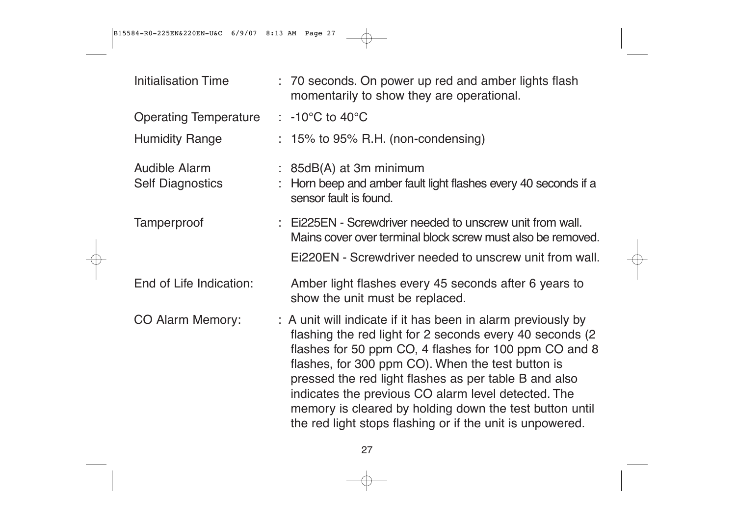B15584-R0-225EN&220EN-U&C 6/9/07 8:13 AM Page 27

| <b>Initialisation Time</b>                      | : 70 seconds. On power up red and amber lights flash<br>momentarily to show they are operational.                                                                                                                                                                                                                                                                                                                                                                               |
|-------------------------------------------------|---------------------------------------------------------------------------------------------------------------------------------------------------------------------------------------------------------------------------------------------------------------------------------------------------------------------------------------------------------------------------------------------------------------------------------------------------------------------------------|
| <b>Operating Temperature</b>                    | $\therefore$ -10°C to 40°C                                                                                                                                                                                                                                                                                                                                                                                                                                                      |
| <b>Humidity Range</b>                           | $: 15\%$ to 95% R.H. (non-condensing)                                                                                                                                                                                                                                                                                                                                                                                                                                           |
| <b>Audible Alarm</b><br><b>Self Diagnostics</b> | $: 85dB(A)$ at 3m minimum<br>Horn beep and amber fault light flashes every 40 seconds if a<br>sensor fault is found.                                                                                                                                                                                                                                                                                                                                                            |
| Tamperproof                                     | : Ei225EN - Screwdriver needed to unscrew unit from wall.<br>Mains cover over terminal block screw must also be removed.<br>EI220EN - Screwdriver needed to unscrew unit from wall.                                                                                                                                                                                                                                                                                             |
| End of Life Indication:                         | Amber light flashes every 45 seconds after 6 years to<br>show the unit must be replaced.                                                                                                                                                                                                                                                                                                                                                                                        |
| <b>CO Alarm Memory:</b>                         | : A unit will indicate if it has been in alarm previously by<br>flashing the red light for 2 seconds every 40 seconds (2)<br>flashes for 50 ppm CO, 4 flashes for 100 ppm CO and 8<br>flashes, for 300 ppm CO). When the test button is<br>pressed the red light flashes as per table B and also<br>indicates the previous CO alarm level detected. The<br>memory is cleared by holding down the test button until<br>the red light stops flashing or if the unit is unpowered. |

⊕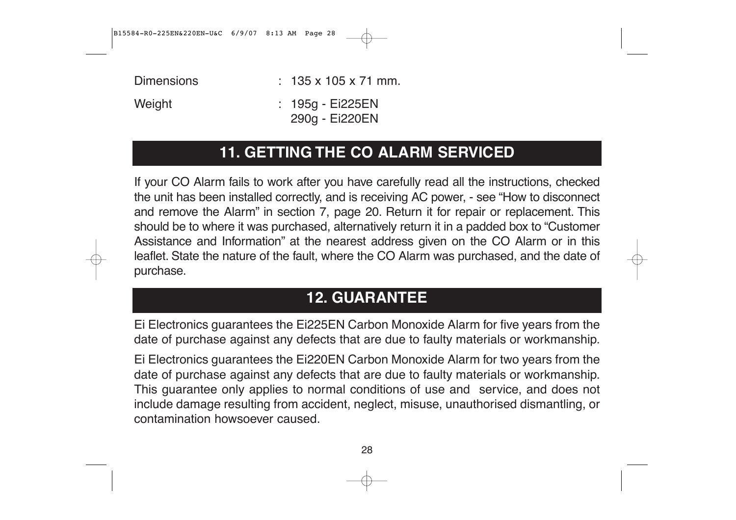B15584-R0-225EN&220EN-U&C 6/9/07 8:13 AM Page 28

Dimensions : 135 x 105 x 71 mm. Weight : 195g - Ei225EN

290g - Ei220EN

### **11. GETTING THE CO ALARM SERVICED**

If your CO Alarm fails to work after you have carefully read all the instructions, checked the unit has been installed correctly, and is receiving AC power, - see "How to disconnect and remove the Alarm" in section 7, page 20. Return it for repair or replacement. This should be to where it was purchased, alternatively return it in a padded box to "Customer Assistance and Information" at the nearest address given on the CO Alarm or in this leaflet. State the nature of the fault, where the CO Alarm was purchased, and the date of purchase.

# **12. GUARANTEE**

Ei Electronics guarantees the Ei225EN Carbon Monoxide Alarm for five years from the date of purchase against any defects that are due to faulty materials or workmanship.

Ei Electronics guarantees the Ei220EN Carbon Monoxide Alarm for two years from the date of purchase against any defects that are due to faulty materials or workmanship. This guarantee only applies to normal conditions of use and service, and does not include damage resulting from accident, neglect, misuse, unauthorised dismantling, or contamination howsoever caused.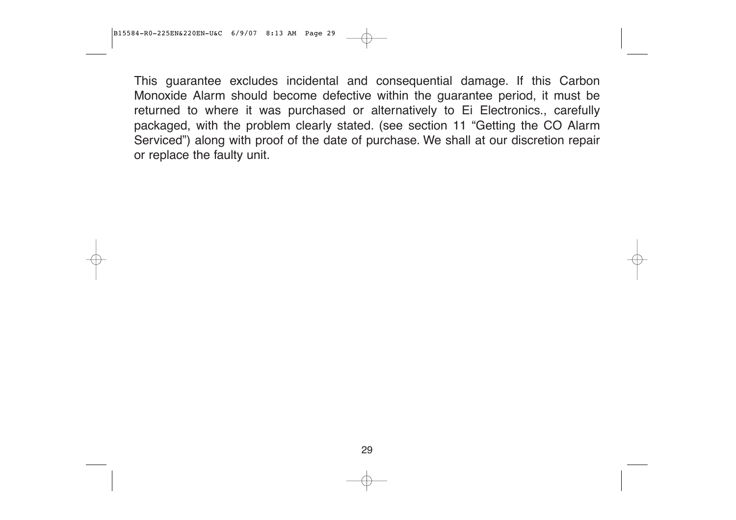This guarantee excludes incidental and consequential damage. If this Carbon Monoxide Alarm should become defective within the guarantee period, it must be returned to where it was purchased or alternatively to Ei Electronics., carefully packaged, with the problem clearly stated. (see section 11 "Getting the CO Alarm Serviced") along with proof of the date of purchase. We shall at our discretion repair or replace the faulty unit.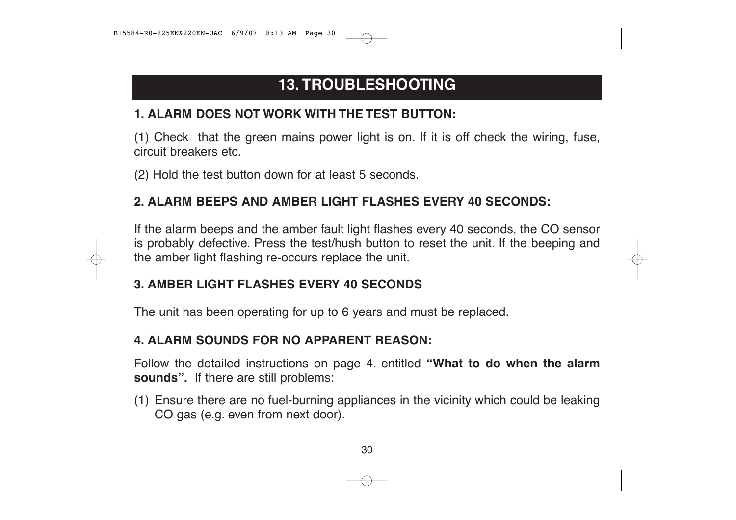# **13. TROUBLESHOOTING**

#### **1. ALARM DOES NOT WORK WITH THE TEST BUTTON:**

(1) Check that the green mains power light is on. If it is off check the wiring, fuse, circuit breakers etc.

(2) Hold the test button down for at least 5 seconds.

#### **2. ALARM BEEPS AND AMBER LIGHT FLASHES EVERY 40 SECONDS:**

If the alarm beeps and the amber fault light flashes every 40 seconds, the CO sensor is probably defective. Press the test/hush button to reset the unit. If the beeping and the amber light flashing re-occurs replace the unit.

#### **3. AMBER LIGHT FLASHES EVERY 40 SECONDS**

The unit has been operating for up to 6 years and must be replaced.

#### **4. ALARM SOUNDS FOR NO APPARENT REASON:**

Follow the detailed instructions on page 4. entitled **"What to do when the alarm sounds".** If there are still problems:

(1) Ensure there are no fuel-burning appliances in the vicinity which could be leaking CO gas (e.g. even from next door).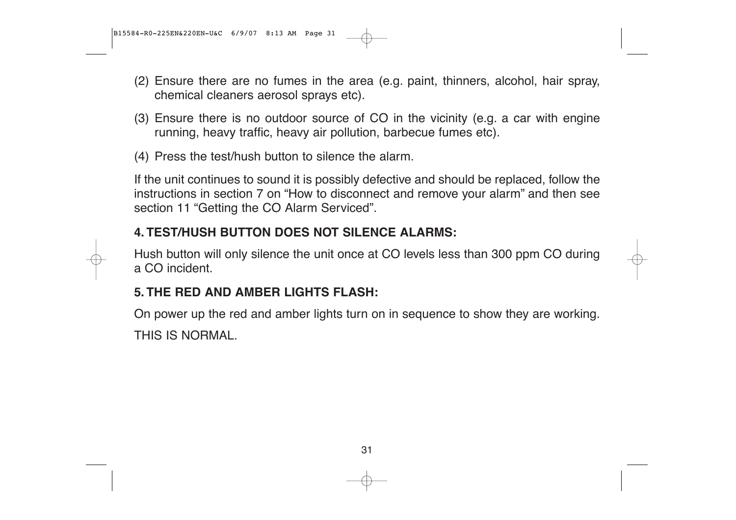B15584-R0-225EN&220EN-U&C 6/9/07 8:13 AM Page 31

- (2) Ensure there are no fumes in the area (e.g. paint, thinners, alcohol, hair spray, chemical cleaners aerosol sprays etc).
- (3) Ensure there is no outdoor source of CO in the vicinity (e.g. a car with engine running, heavy traffic, heavy air pollution, barbecue fumes etc).
- (4) Press the test/hush button to silence the alarm.

If the unit continues to sound it is possibly defective and should be replaced, follow the instructions in section 7 on "How to disconnect and remove your alarm" and then see section 11 "Getting the CO Alarm Serviced".

#### **4. TEST/HUSH BUTTON DOES NOT SILENCE ALARMS:**

Hush button will only silence the unit once at CO levels less than 300 ppm CO during a CO incident.

#### **5. THE RED AND AMBER LIGHTS FLASH:**

On power up the red and amber lights turn on in sequence to show they are working. THIS IS NORMAL.